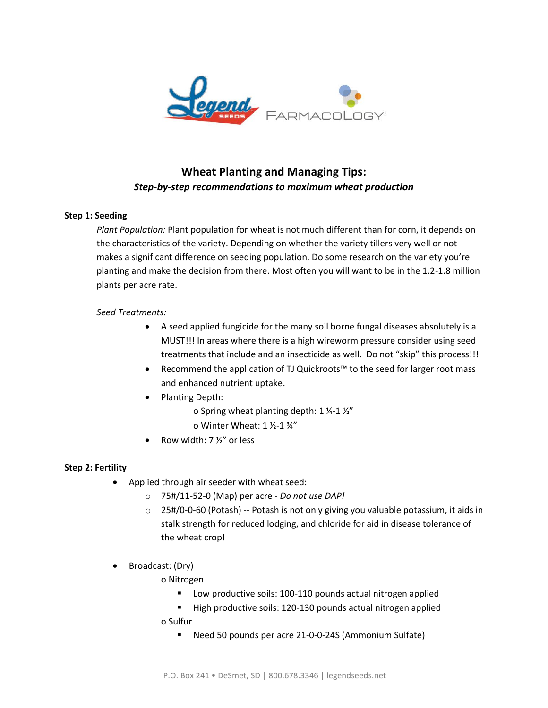

# **Wheat Planting and Managing Tips:** *Step-by-step recommendations to maximum wheat production*

### **Step 1: Seeding**

*Plant Population:* Plant population for wheat is not much different than for corn, it depends on the characteristics of the variety. Depending on whether the variety tillers very well or not makes a significant difference on seeding population. Do some research on the variety you're planting and make the decision from there. Most often you will want to be in the 1.2-1.8 million plants per acre rate.

### *Seed Treatments:*

- A seed applied fungicide for the many soil borne fungal diseases absolutely is a MUST!!! In areas where there is a high wireworm pressure consider using seed treatments that include and an insecticide as well. Do not "skip" this process!!!
- Recommend the application of TJ Quickroots™ to the seed for larger root mass and enhanced nutrient uptake.
- Planting Depth:
	- o Spring wheat planting depth: 1 ¼-1 ½"
	- o Winter Wheat: 1 ½-1 ¾"
- Row width: 7 ½" or less

### **Step 2: Fertility**

- Applied through air seeder with wheat seed:
	- o 75#/11-52-0 (Map) per acre *Do not use DAP!*
	- o 25#/0-0-60 (Potash) -- Potash is not only giving you valuable potassium, it aids in stalk strength for reduced lodging, and chloride for aid in disease tolerance of the wheat crop!
- Broadcast: (Dry)
	- o Nitrogen
		- Low productive soils: 100-110 pounds actual nitrogen applied
		- High productive soils: 120-130 pounds actual nitrogen applied
	- o Sulfur
		- Need 50 pounds per acre 21-0-0-24S (Ammonium Sulfate)